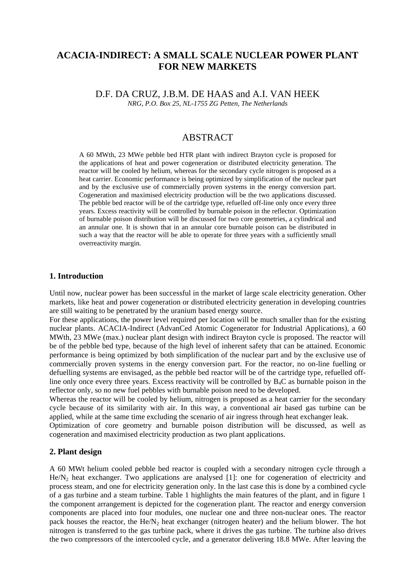# **ACACIA-INDIRECT: A SMALL SCALE NUCLEAR POWER PLANT FOR NEW MARKETS**

D.F. DA CRUZ, J.B.M. DE HAAS and A.I. VAN HEEK *NRG, P.O. Box 25, NL-1755 ZG Petten, The Netherlands* 

## **ABSTRACT**

A 60 MWth, 23 MWe pebble bed HTR plant with indirect Brayton cycle is proposed for the applications of heat and power cogeneration or distributed electricity generation. The reactor will be cooled by helium, whereas for the secondary cycle nitrogen is proposed as a heat carrier. Economic performance is being optimized by simplification of the nuclear part and by the exclusive use of commercially proven systems in the energy conversion part. Cogeneration and maximised electricity production will be the two applications discussed. The pebble bed reactor will be of the cartridge type, refuelled off-line only once every three years. Excess reactivity will be controlled by burnable poison in the reflector. Optimization of burnable poison distribution will be discussed for two core geometries, a cylindrical and an annular one. It is shown that in an annular core burnable poison can be distributed in such a way that the reactor will be able to operate for three years with a sufficiently small overreactivity margin.

### **1. Introduction**

Until now, nuclear power has been successful in the market of large scale electricity generation. Other markets, like heat and power cogeneration or distributed electricity generation in developing countries are still waiting to be penetrated by the uranium based energy source.

For these applications, the power level required per location will be much smaller than for the existing nuclear plants. ACACIA-Indirect (AdvanCed Atomic Cogenerator for Industrial Applications), a 60 MWth, 23 MWe (max.) nuclear plant design with indirect Brayton cycle is proposed. The reactor will be of the pebble bed type, because of the high level of inherent safety that can be attained. Economic performance is being optimized by both simplification of the nuclear part and by the exclusive use of commercially proven systems in the energy conversion part. For the reactor, no on-line fuelling or defuelling systems are envisaged, as the pebble bed reactor will be of the cartridge type, refuelled offline only once every three years. Excess reactivity will be controlled by  $B_4C$  as burnable poison in the reflector only, so no new fuel pebbles with burnable poison need to be developed.

Whereas the reactor will be cooled by helium, nitrogen is proposed as a heat carrier for the secondary cycle because of its similarity with air. In this way, a conventional air based gas turbine can be applied, while at the same time excluding the scenario of air ingress through heat exchanger leak.

Optimization of core geometry and burnable poison distribution will be discussed, as well as cogeneration and maximised electricity production as two plant applications.

### **2. Plant design**

A 60 MWt helium cooled pebble bed reactor is coupled with a secondary nitrogen cycle through a  $He/N<sub>2</sub>$  heat exchanger. Two applications are analysed [1]: one for cogeneration of electricity and process steam, and one for electricity generation only. In the last case this is done by a combined cycle of a gas turbine and a steam turbine. Table 1 highlights the main features of the plant, and in figure 1 the component arrangement is depicted for the cogeneration plant. The reactor and energy conversion components are placed into four modules, one nuclear one and three non-nuclear ones. The reactor pack houses the reactor, the  $He/N_2$  heat exchanger (nitrogen heater) and the helium blower. The hot nitrogen is transferred to the gas turbine pack, where it drives the gas turbine. The turbine also drives the two compressors of the intercooled cycle, and a generator delivering 18.8 MWe. After leaving the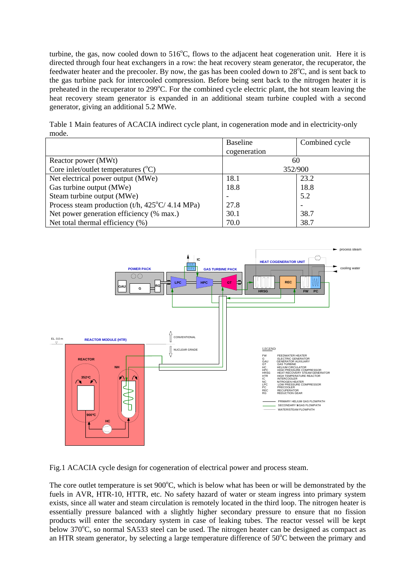turbine, the gas, now cooled down to  $516^{\circ}$ C, flows to the adjacent heat cogeneration unit. Here it is directed through four heat exchangers in a row: the heat recovery steam generator, the recuperator, the feedwater heater and the precooler. By now, the gas has been cooled down to 28<sup>o</sup>C, and is sent back to the gas turbine pack for intercooled compression. Before being sent back to the nitrogen heater it is preheated in the recuperator to 299°C. For the combined cycle electric plant, the hot steam leaving the heat recovery steam generator is expanded in an additional steam turbine coupled with a second generator, giving an additional 5.2 MWe.

Table 1 Main features of ACACIA indirect cycle plant, in cogeneration mode and in electricity-only mode.

|                                                                 | Baseline     | Combined cycle |
|-----------------------------------------------------------------|--------------|----------------|
|                                                                 | cogeneration |                |
| Reactor power (MWt)                                             | 60           |                |
| Core inlet/outlet temperatures $(^{\circ}C)$                    | 352/900      |                |
| Net electrical power output (MWe)                               | 18.1         | 23.2           |
| Gas turbine output (MWe)                                        | 18.8         | 18.8           |
| Steam turbine output (MWe)                                      |              | 5.2            |
| Process steam production $(t/h, 425^{\circ}C/4.14 \text{ MPa})$ | 27.8         |                |
| Net power generation efficiency (% max.)                        | 30.1         | 38.7           |
| Net total thermal efficiency (%)                                | 70.0         | 38.7           |



Fig.1 ACACIA cycle design for cogeneration of electrical power and process steam.

The core outlet temperature is set  $900^{\circ}$ C, which is below what has been or will be demonstrated by the fuels in AVR, HTR-10, HTTR, etc. No safety hazard of water or steam ingress into primary system exists, since all water and steam circulation is remotely located in the third loop. The nitrogen heater is essentially pressure balanced with a slightly higher secondary pressure to ensure that no fission products will enter the secondary system in case of leaking tubes. The reactor vessel will be kept below 370°C, so normal SA533 steel can be used. The nitrogen heater can be designed as compact as an HTR steam generator, by selecting a large temperature difference of  $50^{\circ}$ C between the primary and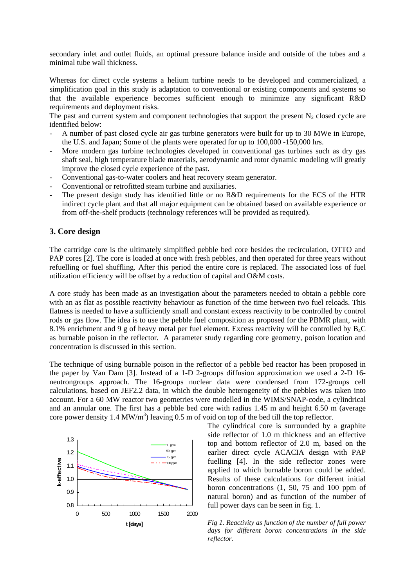secondary inlet and outlet fluids, an optimal pressure balance inside and outside of the tubes and a minimal tube wall thickness.

Whereas for direct cycle systems a helium turbine needs to be developed and commercialized, a simplification goal in this study is adaptation to conventional or existing components and systems so that the available experience becomes sufficient enough to minimize any significant R&D requirements and deployment risks.

The past and current system and component technologies that support the present  $N_2$  closed cycle are identified below:

- A number of past closed cycle air gas turbine generators were built for up to 30 MWe in Europe, the U.S. and Japan; Some of the plants were operated for up to 100,000 -150,000 hrs.
- More modern gas turbine technologies developed in conventional gas turbines such as dry gas shaft seal, high temperature blade materials, aerodynamic and rotor dynamic modeling will greatly improve the closed cycle experience of the past.
- Conventional gas-to-water coolers and heat recovery steam generator.
- Conventional or retrofitted steam turbine and auxiliaries.
- The present design study has identified little or no R&D requirements for the ECS of the HTR indirect cycle plant and that all major equipment can be obtained based on available experience or from off-the-shelf products (technology references will be provided as required).

### **3. Core design**

The cartridge core is the ultimately simplified pebble bed core besides the recirculation, OTTO and PAP cores [2]. The core is loaded at once with fresh pebbles, and then operated for three years without refuelling or fuel shuffling. After this period the entire core is replaced. The associated loss of fuel utilization efficiency will be offset by a reduction of capital and O&M costs.

A core study has been made as an investigation about the parameters needed to obtain a pebble core with an as flat as possible reactivity behaviour as function of the time between two fuel reloads. This flatness is needed to have a sufficiently small and constant excess reactivity to be controlled by control rods or gas flow. The idea is to use the pebble fuel composition as proposed for the PBMR plant, with 8.1% enrichment and 9 g of heavy metal per fuel element. Excess reactivity will be controlled by B4C as burnable poison in the reflector. A parameter study regarding core geometry, poison location and concentration is discussed in this section.

The technique of using burnable poison in the reflector of a pebble bed reactor has been proposed in the paper by Van Dam [3]. Instead of a 1-D 2-groups diffusion approximation we used a 2-D 16 neutrongroups approach. The 16-groups nuclear data were condensed from 172-groups cell calculations, based on JEF2.2 data, in which the double heterogeneity of the pebbles was taken into account. For a 60 MW reactor two geometries were modelled in the WIMS/SNAP-code, a cylindrical and an annular one. The first has a pebble bed core with radius 1.45 m and height 6.50 m (average core power density 1.4 MW/m<sup>3</sup>) leaving 0.5 m of void on top of the bed till the top reflector.



The cylindrical core is surrounded by a graphite side reflector of 1.0 m thickness and an effective top and bottom reflector of 2.0 m, based on the earlier direct cycle ACACIA design with PAP fuelling [4]. In the side reflector zones were applied to which burnable boron could be added. Results of these calculations for different initial boron concentrations (1, 50, 75 and 100 ppm of natural boron) and as function of the number of

*Fig 1. Reactivity as function of the number of full power days for different boron concentrations in the side reflector.*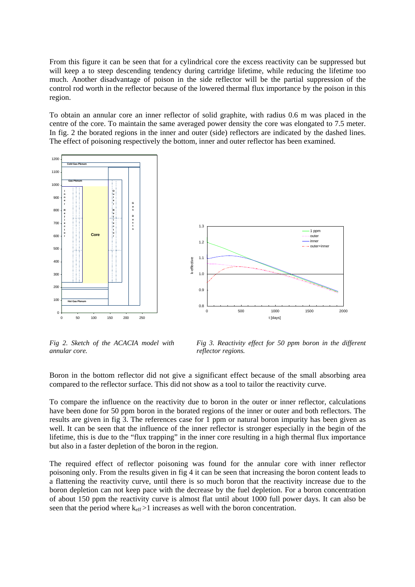From this figure it can be seen that for a cylindrical core the excess reactivity can be suppressed but will keep a to steep descending tendency during cartridge lifetime, while reducing the lifetime too much. Another disadvantage of poison in the side reflector will be the partial suppression of the control rod worth in the reflector because of the lowered thermal flux importance by the poison in this region.

To obtain an annular core an inner reflector of solid graphite, with radius 0.6 m was placed in the centre of the core. To maintain the same averaged power density the core was elongated to 7.5 meter. In fig. 2 the borated regions in the inner and outer (side) reflectors are indicated by the dashed lines. The effect of poisoning respectively the bottom, inner and outer reflector has been examined.



*Fig 2. Sketch of the ACACIA model with annular core.* 

*Fig 3. Reactivity effect for 50 ppm boron in the different reflector regions.* 

Boron in the bottom reflector did not give a significant effect because of the small absorbing area compared to the reflector surface. This did not show as a tool to tailor the reactivity curve.

To compare the influence on the reactivity due to boron in the outer or inner reflector, calculations have been done for 50 ppm boron in the borated regions of the inner or outer and both reflectors. The results are given in fig 3. The references case for 1 ppm or natural boron impurity has been given as well. It can be seen that the influence of the inner reflector is stronger especially in the begin of the lifetime, this is due to the "flux trapping" in the inner core resulting in a high thermal flux importance but also in a faster depletion of the boron in the region.

The required effect of reflector poisoning was found for the annular core with inner reflector poisoning only. From the results given in fig 4 it can be seen that increasing the boron content leads to a flattening the reactivity curve, until there is so much boron that the reactivity increase due to the boron depletion can not keep pace with the decrease by the fuel depletion. For a boron concentration of about 150 ppm the reactivity curve is almost flat until about 1000 full power days. It can also be seen that the period where  $k_{\text{eff}} > 1$  increases as well with the boron concentration.